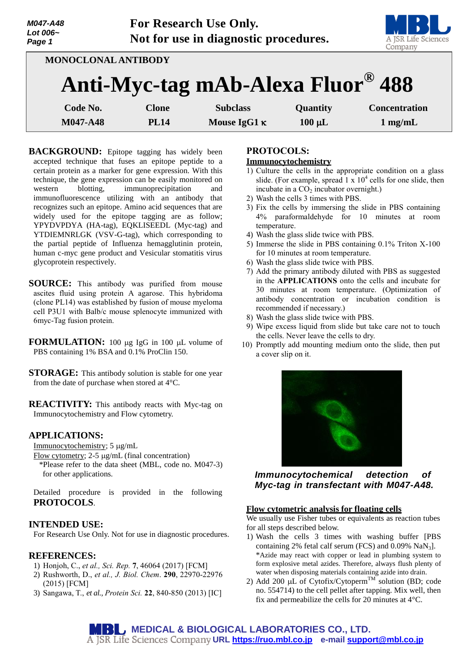| M047-A48<br>Lot 006~<br>Page 1 | For Research Use Only.<br>Not for use in diagnostic procedures. |                                   |             | A JSR Life Sciences<br>Company |
|--------------------------------|-----------------------------------------------------------------|-----------------------------------|-------------|--------------------------------|
| MONOCLONAL ANTIBODY            |                                                                 |                                   |             |                                |
|                                |                                                                 | Anti-Myc-tag mAb-Alexa Fluor® 488 |             |                                |
| Code No.                       | <b>Clone</b>                                                    | <b>Subclass</b>                   | Quantity    | <b>Concentration</b>           |
| M047-A48                       | <b>PL14</b>                                                     | Mouse IgG1 $\kappa$               | $100 \mu L$ | $1$ mg/mL                      |

**BACKGROUND:** Epitope tagging has widely been accepted technique that fuses an epitope peptide to a certain protein as a marker for gene expression. With this technique, the gene expression can be easily monitored on western blotting, immunoprecipitation and immunofluorescence utilizing with an antibody that recognizes such an epitope. Amino acid sequences that are widely used for the epitope tagging are as follow; YPYDVPDYA (HA-tag), EQKLISEEDL (Myc-tag) and YTDIEMNRLGK (VSV-G-tag), which corresponding to the partial peptide of Influenza hemagglutinin protein, human c-myc gene product and Vesicular stomatitis virus glycoprotein respectively.

- **SOURCE:** This antibody was purified from mouse ascites fluid using protein A agarose. This hybridoma (clone PL14) was established by fusion of mouse myeloma cell P3U1 with Balb/c mouse splenocyte immunized with 6myc-Tag fusion protein.
- **FORMULATION:** 100 µg IgG in 100 µL volume of PBS containing 1% BSA and 0.1% ProClin 150.
- **STORAGE:** This antibody solution is stable for one year from the date of purchase when stored at 4°C.

**REACTIVITY:** This antibody reacts with Myc-tag on Immunocytochemistry and Flow cytometry.

# **APPLICATIONS:**

Immunocytochemistry; 5 µg/mL

Flow cytometry;  $2-5 \mu g/mL$  (final concentration)

\*Please refer to the data sheet (MBL, code no. M047-3) for other applications.

Detailed procedure is provided in the following **PROTOCOLS**.

# **INTENDED USE:**

For Research Use Only. Not for use in diagnostic procedures.

# **REFERENCES:**

- 1) Honjoh, C., *et al., Sci. Rep.* **7**, 46064 (2017) [FCM]
- 2) Rushworth, D., *et al., J. Biol. Chem*. **290**, 22970-22976 (2015) [FCM]
- 3) Sangawa, T., *et al., Protein Sci.* **22**, 840-850 (2013) [IC]

### **PROTOCOLS: Immunocytochemistry**

- 1) Culture the cells in the appropriate condition on a glass slide. (For example, spread  $1 \times 10^4$  cells for one slide, then incubate in a  $CO<sub>2</sub>$  incubator overnight.)
- 2) Wash the cells 3 times with PBS.
- 3) Fix the cells by immersing the slide in PBS containing 4% paraformaldehyde for 10 minutes at room temperature.
- 4) Wash the glass slide twice with PBS.
- 5) Immerse the slide in PBS containing 0.1% Triton X-100 for 10 minutes at room temperature.
- 6) Wash the glass slide twice with PBS.
- 7) Add the primary antibody diluted with PBS as suggested in the **APPLICATIONS** onto the cells and incubate for 30 minutes at room temperature. (Optimization of antibody concentration or incubation condition is recommended if necessary.)
- 8) Wash the glass slide twice with PBS.
- 9) Wipe excess liquid from slide but take care not to touch the cells. Never leave the cells to dry.
- 10) Promptly add mounting medium onto the slide, then put a cover slip on it.



*Immunocytochemical detection of Myc-tag in transfectant with M047-A48.*

#### **Flow cytometric analysis for floating cells**

We usually use Fisher tubes or equivalents as reaction tubes for all steps described below.

- 1) Wash the cells 3 times with washing buffer [PBS containing 2% fetal calf serum (FCS) and 0.09% NaN3]. \*Azide may react with copper or lead in plumbing system to form explosive metal azides. Therefore, always flush plenty of water when disposing materials containing azide into drain.
- 2) Add 200  $\mu$ L of Cytofix/Cytoperm<sup>TM</sup> solution (BD; code no. 554714) to the cell pellet after tapping. Mix well, then fix and permeabilize the cells for 20 minutes at 4°C.